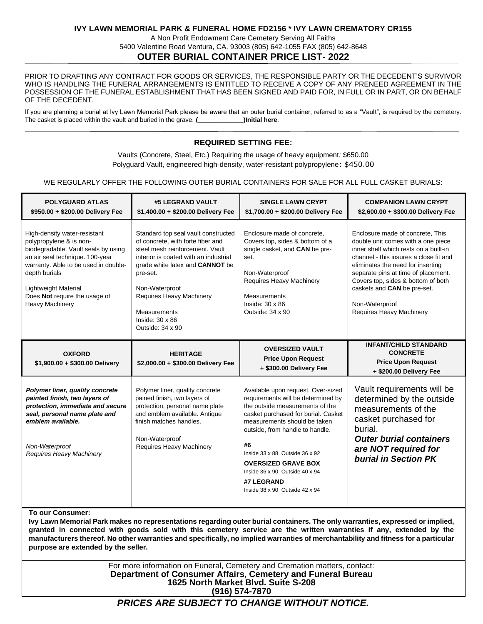# **IVY LAWN MEMORIAL PARK & FUNERAL HOME FD2156 \* IVY LAWN CREMATORY CR155**

A Non Profit Endowment Care Cemetery Serving All Faiths 5400 Valentine Road Ventura, CA. 93003 (805) 642-1055 FAX (805) 642-8648 **OUTER BURIAL CONTAINER PRICE LIST- 2022**

PRIOR TO DRAFTING ANY CONTRACT FOR GOODS OR SERVICES, THE RESPONSIBLE PARTY OR THE DECEDENT'S SURVIVOR WHO IS HANDLING THE FUNERAL ARRANGEMENTS IS ENTITLED TO RECEIVE A COPY OF ANY PRENEED AGREEMENT IN THE POSSESSION OF THE FUNERAL ESTABLISHMENT THAT HAS BEEN SIGNED AND PAID FOR, IN FULL OR IN PART, OR ON BEHALF OF THE DECEDENT.

If you are planning a burial at Ivy Lawn Memorial Park please be aware that an outer burial container, referred to as a "Vault", is required by the cemetery. The casket is placed within the vault and buried in the grave. **(\_\_\_\_\_\_\_\_\_\_\_\_\_)Initial here**.

# **REQUIRED SETTING FEE:**

Vaults (Concrete, Steel, Etc.) Requiring the usage of heavy equipment*:* \$650.00 Polyguard Vault, engineered high-density, water-resistant polypropylene: \$450.00

#### WE REGULARLY OFFER THE FOLLOWING OUTER BURIAL CONTAINERS FOR SALE FOR ALL FULL CASKET BURIALS:

| <b>POLYGUARD ATLAS</b><br>\$950.00 + \$200.00 Delivery Fee                                                                                                                                                                                                                           | #5 LEGRAND VAULT<br>\$1,400.00 + \$200.00 Delivery Fee                                                                                                                                                                                                                                                                 | <b>SINGLE LAWN CRYPT</b><br>\$1,700.00 + \$200.00 Delivery Fee                                                                                                                                                                                                                                                                                                                              | <b>COMPANION LAWN CRYPT</b><br>\$2,600.00 + \$300.00 Delivery Fee                                                                                                                                                                                                                                                                                        |
|--------------------------------------------------------------------------------------------------------------------------------------------------------------------------------------------------------------------------------------------------------------------------------------|------------------------------------------------------------------------------------------------------------------------------------------------------------------------------------------------------------------------------------------------------------------------------------------------------------------------|---------------------------------------------------------------------------------------------------------------------------------------------------------------------------------------------------------------------------------------------------------------------------------------------------------------------------------------------------------------------------------------------|----------------------------------------------------------------------------------------------------------------------------------------------------------------------------------------------------------------------------------------------------------------------------------------------------------------------------------------------------------|
| High-density water-resistant<br>polypropylene & is non-<br>biodegradable. Vault seals by using<br>an air seal technique. 100-year<br>warranty. Able to be used in double-<br>depth burials<br><b>Lightweight Material</b><br>Does Not require the usage of<br><b>Heavy Machinery</b> | Standard top seal vault constructed<br>of concrete, with forte fiber and<br>steel mesh reinforcement. Vault<br>interior is coated with an industrial<br>grade white latex and <b>CANNOT</b> be<br>pre-set.<br>Non-Waterproof<br>Requires Heavy Machinery<br>Measurements<br>Inside: $30 \times 86$<br>Outside: 34 x 90 | Enclosure made of concrete.<br>Covers top, sides & bottom of a<br>single casket, and <b>CAN</b> be pre-<br>set.<br>Non-Waterproof<br>Requires Heavy Machinery<br>Measurements<br>Inside: $30 \times 86$<br>Outside: 34 x 90                                                                                                                                                                 | Enclosure made of concrete. This<br>double unit comes with a one piece<br>inner shelf which rests on a built-in<br>channel - this insures a close fit and<br>eliminates the need for inserting<br>separate pins at time of placement.<br>Covers top, sides & bottom of both<br>caskets and CAN be pre-set.<br>Non-Waterproof<br>Requires Heavy Machinery |
| <b>OXFORD</b><br>\$1,900.00 + \$300.00 Delivery                                                                                                                                                                                                                                      | <b>HERITAGE</b><br>\$2,000.00 + \$300.00 Delivery Fee                                                                                                                                                                                                                                                                  | <b>OVERSIZED VAULT</b><br><b>Price Upon Request</b><br>+ \$300.00 Delivery Fee                                                                                                                                                                                                                                                                                                              | <b>INFANT/CHILD STANDARD</b><br><b>CONCRETE</b><br><b>Price Upon Request</b><br>+ \$200.00 Delivery Fee                                                                                                                                                                                                                                                  |
| Polymer liner, quality concrete<br>painted finish, two layers of<br>protection, immediate and secure<br>seal, personal name plate and<br>emblem available.<br>Non-Waterproof<br>Requires Heavy Machinery                                                                             | Polymer liner, quality concrete<br>pained finish, two layers of<br>protection, personal name plate<br>and emblem available. Antique<br>finish matches handles.<br>Non-Waterproof<br>Requires Heavy Machinery                                                                                                           | Available upon request. Over-sized<br>requirements will be determined by<br>the outside measurements of the<br>casket purchased for burial. Casket<br>measurements should be taken<br>outside, from handle to handle.<br>#6<br>Inside 33 x 88 Outside 36 x 92<br><b>OVERSIZED GRAVE BOX</b><br>Inside $36 \times 90$ Outside $40 \times 94$<br>#7 LEGRAND<br>Inside 38 x 90 Outside 42 x 94 | Vault requirements will be<br>determined by the outside<br>measurements of the<br>casket purchased for<br>burial.<br><b>Outer burial containers</b><br>are NOT required for<br>burial in Section PK                                                                                                                                                      |

**To our Consumer:**

**Ivy Lawn Memorial Park makes no representations regarding outer burial containers. The only warranties, expressed or implied, granted in connected with goods sold with this cemetery service are the written warranties if any, extended by the manufacturers thereof. No other warranties and specifically, no implied warranties of merchantability and fitness for a particular purpose are extended by the seller.**

> For more information on Funeral, Cemetery and Cremation matters, contact: **Department of Consumer Affairs, Cemetery and Funeral Bureau 1625 North Market Blvd. Suite S-208 (916) 574-7870**

# *PRICES ARE SUBJECT TO CHANGE WITHOUT NOTICE.*